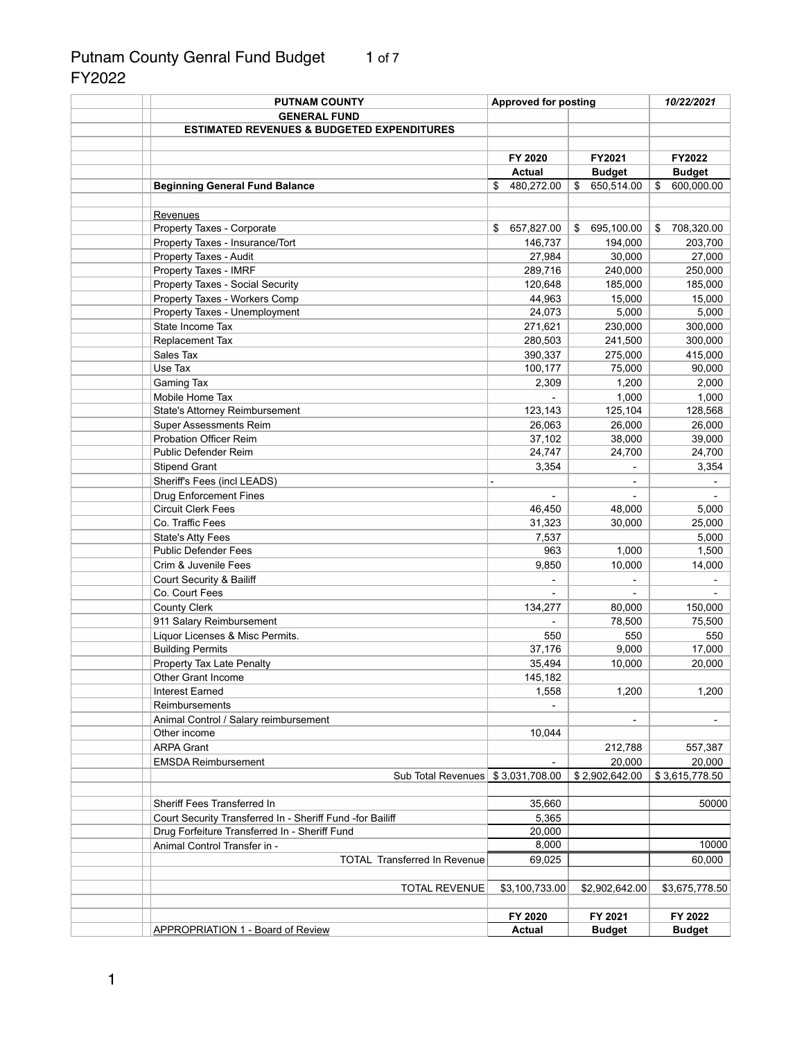# Putnam County Genral Fund Budget 1 of 7 FY2022

| <b>PUTNAM COUNTY</b>                                      | <b>Approved for posting</b> |                  | 10/22/2021       |  |
|-----------------------------------------------------------|-----------------------------|------------------|------------------|--|
| <b>GENERAL FUND</b>                                       |                             |                  |                  |  |
| <b>ESTIMATED REVENUES &amp; BUDGETED EXPENDITURES</b>     |                             |                  |                  |  |
|                                                           |                             |                  |                  |  |
|                                                           | FY 2020                     | FY2021           | FY2022           |  |
|                                                           | <b>Actual</b>               | <b>Budget</b>    | <b>Budget</b>    |  |
| <b>Beginning General Fund Balance</b>                     | 480,272.00<br>\$            | \$<br>650,514.00 | 600,000.00<br>\$ |  |
|                                                           |                             |                  |                  |  |
| Revenues                                                  |                             |                  |                  |  |
| Property Taxes - Corporate                                | 657,827.00<br>\$            | 695,100.00<br>S. | 708,320.00<br>S  |  |
| Property Taxes - Insurance/Tort                           | 146,737                     | 194,000          | 203,700          |  |
|                                                           |                             |                  |                  |  |
| Property Taxes - Audit                                    | 27,984                      | 30,000           | 27,000           |  |
| Property Taxes - IMRF                                     | 289,716                     | 240,000          | 250,000          |  |
| <b>Property Taxes - Social Security</b>                   | 120,648                     | 185,000          | 185,000          |  |
| Property Taxes - Workers Comp                             | 44,963                      | 15,000           | 15,000           |  |
| Property Taxes - Unemployment                             | 24,073                      | 5,000            | 5,000            |  |
| State Income Tax                                          | 271,621                     | 230,000          | 300,000          |  |
| Replacement Tax                                           | 280,503                     | 241,500          | 300,000          |  |
| Sales Tax                                                 | 390,337                     | 275,000          | 415,000          |  |
| Use Tax                                                   | 100,177                     | 75,000           | 90,000           |  |
| <b>Gaming Tax</b>                                         | 2,309                       | 1,200            | 2,000            |  |
| Mobile Home Tax                                           |                             | 1,000            | 1,000            |  |
| State's Attorney Reimbursement                            | 123,143                     | 125,104          | 128,568          |  |
| <b>Super Assessments Reim</b>                             | 26,063                      | 26,000           | 26,000           |  |
| <b>Probation Officer Reim</b>                             | 37,102                      | 38,000           | 39,000           |  |
| Public Defender Reim                                      | 24,747                      | 24,700           | 24,700           |  |
|                                                           |                             |                  |                  |  |
| <b>Stipend Grant</b>                                      | 3,354                       |                  | 3,354            |  |
| Sheriff's Fees (incl LEADS)                               |                             |                  |                  |  |
| <b>Drug Enforcement Fines</b>                             |                             |                  |                  |  |
| <b>Circuit Clerk Fees</b>                                 | 46,450                      | 48,000           | 5,000            |  |
| Co. Traffic Fees                                          | 31,323                      | 30,000           | 25,000           |  |
| <b>State's Atty Fees</b>                                  | 7,537                       |                  | 5,000            |  |
| <b>Public Defender Fees</b>                               | 963                         | 1,000            | 1,500            |  |
| Crim & Juvenile Fees                                      | 9,850                       | 10,000           | 14,000           |  |
| <b>Court Security &amp; Bailiff</b>                       |                             |                  |                  |  |
| Co. Court Fees                                            |                             |                  |                  |  |
| <b>County Clerk</b>                                       | 134,277                     | 80,000           | 150,000          |  |
| 911 Salary Reimbursement                                  |                             | 78,500           | 75,500           |  |
| Liquor Licenses & Misc Permits.                           | 550                         | 550              | 550              |  |
| <b>Building Permits</b>                                   | 37,176                      | 9,000            | 17,000           |  |
| Property Tax Late Penalty                                 | 35,494                      | 10,000           | 20,000           |  |
| <b>Other Grant Income</b>                                 | 145,182                     |                  |                  |  |
| <b>Interest Earned</b>                                    | 1,558                       | 1,200            | 1,200            |  |
|                                                           |                             |                  |                  |  |
| Reimbursements                                            |                             |                  |                  |  |
| Animal Control / Salary reimbursement                     |                             | $\blacksquare$   |                  |  |
| Other income                                              | 10,044                      |                  |                  |  |
| <b>ARPA Grant</b>                                         |                             | 212,788          | 557,387          |  |
| <b>EMSDA Reimbursement</b>                                |                             | 20,000           | 20,000           |  |
| Sub Total Revenues \$ 3,031,708.00                        |                             | \$2,902,642.00   | \$3,615,778.50   |  |
|                                                           |                             |                  |                  |  |
| Sheriff Fees Transferred In                               | 35,660                      |                  | 50000            |  |
| Court Security Transferred In - Sheriff Fund -for Bailiff | 5,365                       |                  |                  |  |
| Drug Forfeiture Transferred In - Sheriff Fund             | 20,000                      |                  |                  |  |
| Animal Control Transfer in -                              | 8,000                       |                  | 10000            |  |
| <b>TOTAL Transferred In Revenue</b>                       | 69,025                      |                  | 60,000           |  |
|                                                           |                             |                  |                  |  |
| <b>TOTAL REVENUE</b>                                      | \$3,100,733.00              | \$2,902,642.00   | \$3,675,778.50   |  |
|                                                           |                             |                  |                  |  |
|                                                           |                             |                  |                  |  |
|                                                           | FY 2020                     | FY 2021          | FY 2022          |  |
| <b>APPROPRIATION 1 - Board of Review</b>                  | <b>Actual</b>               | <b>Budget</b>    | <b>Budget</b>    |  |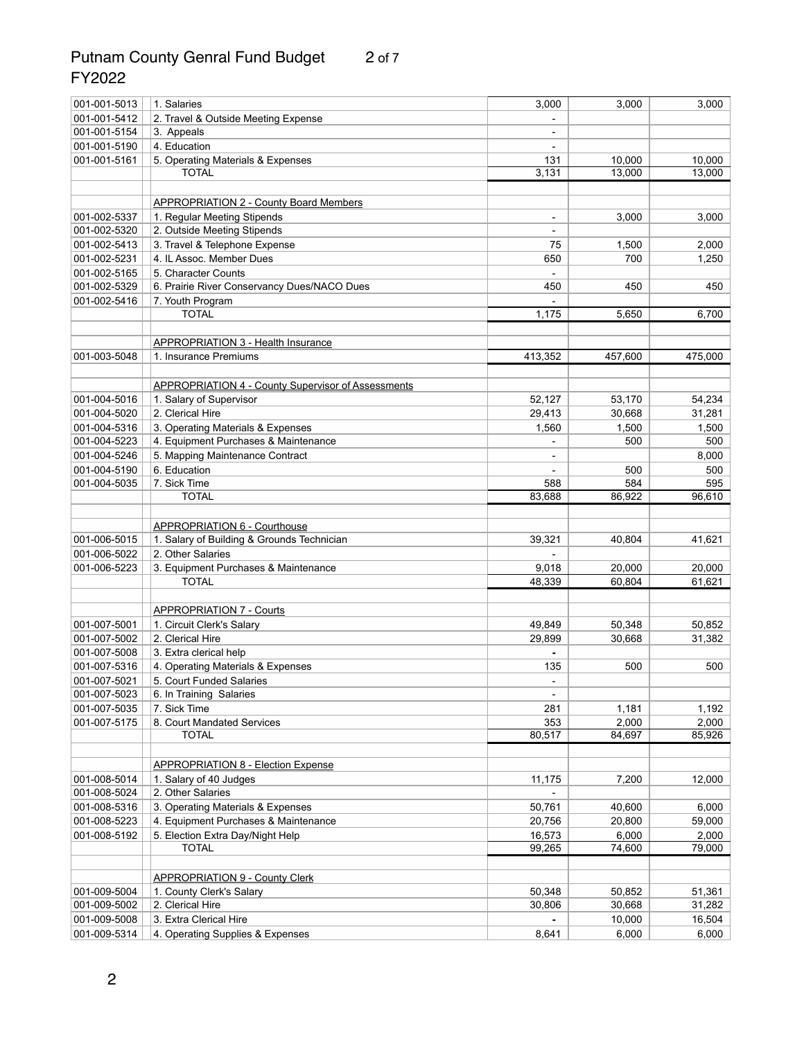## Putnam County Genral Fund Budget 2 of 7 FY2022

| 001-001-5013 | 1. Salaries                                               | 3,000                    | 3,000           | 3,000           |
|--------------|-----------------------------------------------------------|--------------------------|-----------------|-----------------|
| 001-001-5412 | 2. Travel & Outside Meeting Expense                       |                          |                 |                 |
| 001-001-5154 | 3. Appeals                                                | $\overline{\phantom{a}}$ |                 |                 |
| 001-001-5190 | 4. Education                                              |                          |                 |                 |
| 001-001-5161 | 5. Operating Materials & Expenses                         | 131                      | 10,000          | 10,000          |
|              | <b>TOTAL</b>                                              | 3,131                    | 13,000          | 13,000          |
|              |                                                           |                          |                 |                 |
|              | <b>APPROPRIATION 2 - County Board Members</b>             |                          |                 |                 |
| 001-002-5337 | 1. Regular Meeting Stipends                               | $\blacksquare$           | 3,000           | 3,000           |
| 001-002-5320 | 2. Outside Meeting Stipends                               |                          |                 |                 |
| 001-002-5413 | 3. Travel & Telephone Expense                             | 75                       | 1,500           | 2,000           |
| 001-002-5231 | 4. IL Assoc. Member Dues                                  | 650                      | 700             | 1,250           |
| 001-002-5165 | 5. Character Counts                                       |                          |                 |                 |
| 001-002-5329 |                                                           | 450                      | 450             | 450             |
|              | 6. Prairie River Conservancy Dues/NACO Dues               |                          |                 |                 |
| 001-002-5416 | 7. Youth Program                                          |                          |                 |                 |
|              | <b>TOTAL</b>                                              | 1,175                    | 5,650           | 6,700           |
|              |                                                           |                          |                 |                 |
|              | <b>APPROPRIATION 3 - Health Insurance</b>                 |                          |                 |                 |
| 001-003-5048 | 1. Insurance Premiums                                     | 413,352                  | 457,600         | 475,000         |
|              |                                                           |                          |                 |                 |
|              | <b>APPROPRIATION 4 - County Supervisor of Assessments</b> |                          |                 |                 |
| 001-004-5016 | 1. Salary of Supervisor                                   | 52,127                   | 53,170          | 54,234          |
| 001-004-5020 | 2. Clerical Hire                                          | 29,413                   | 30,668          | 31,281          |
| 001-004-5316 | 3. Operating Materials & Expenses                         | 1,560                    | 1,500           | 1,500           |
| 001-004-5223 | 4. Equipment Purchases & Maintenance                      |                          | 500             | 500             |
| 001-004-5246 | 5. Mapping Maintenance Contract                           |                          |                 | 8,000           |
| 001-004-5190 | 6. Education                                              |                          | 500             | 500             |
| 001-004-5035 | 7. Sick Time                                              | 588                      | 584             | 595             |
|              | <b>TOTAL</b>                                              | 83,688                   | 86,922          | 96,610          |
|              |                                                           |                          |                 |                 |
|              | <b>APPROPRIATION 6 - Courthouse</b>                       |                          |                 |                 |
| 001-006-5015 | 1. Salary of Building & Grounds Technician                | 39,321                   | 40,804          | 41,621          |
| 001-006-5022 | 2. Other Salaries                                         |                          |                 |                 |
| 001-006-5223 | 3. Equipment Purchases & Maintenance                      | 9,018                    | 20,000          | 20,000          |
|              | <b>TOTAL</b>                                              | 48,339                   | 60,804          | 61,621          |
|              |                                                           |                          |                 |                 |
|              | <b>APPROPRIATION 7 - Courts</b>                           |                          |                 |                 |
| 001-007-5001 | 1. Circuit Clerk's Salary                                 | 49,849                   | 50,348          | 50,852          |
| 001-007-5002 | 2. Clerical Hire                                          | 29,899                   | 30,668          | 31,382          |
| 001-007-5008 | 3. Extra clerical help                                    |                          |                 |                 |
| 001-007-5316 | 4. Operating Materials & Expenses                         | 135                      | 500             | 500             |
| 001-007-5021 | 5. Court Funded Salaries                                  |                          |                 |                 |
| 001-007-5023 | 6. In Training Salaries                                   |                          |                 |                 |
| 001-007-5035 | 7. Sick Time                                              | 281                      | 1,181           | 1,192           |
| 001-007-5175 | 8. Court Mandated Services                                | 353                      | 2,000           | 2,000           |
|              | <b>TOTAL</b>                                              | 80,517                   | 84,697          | 85,926          |
|              |                                                           |                          |                 |                 |
|              | <b>APPROPRIATION 8 - Election Expense</b>                 |                          |                 |                 |
| 001-008-5014 | 1. Salary of 40 Judges                                    | 11,175                   | 7,200           | 12,000          |
| 001-008-5024 | 2. Other Salaries                                         |                          |                 |                 |
| 001-008-5316 | 3. Operating Materials & Expenses                         | 50,761                   | 40,600          | 6,000           |
| 001-008-5223 | 4. Equipment Purchases & Maintenance                      | 20,756                   | 20,800          | 59,000          |
|              |                                                           |                          |                 |                 |
| 001-008-5192 | 5. Election Extra Day/Night Help<br><b>TOTAL</b>          | 16,573<br>99,265         | 6,000<br>74,600 | 2,000<br>79,000 |
|              |                                                           |                          |                 |                 |
|              |                                                           |                          |                 |                 |
|              | <b>APPROPRIATION 9 - County Clerk</b>                     |                          |                 |                 |
| 001-009-5004 | 1. County Clerk's Salary                                  | 50,348                   | 50,852          | 51,361          |
| 001-009-5002 | 2. Clerical Hire                                          | 30,806                   | 30,668          | 31,282          |
| 001-009-5008 | 3. Extra Clerical Hire                                    |                          | 10,000          | 16,504          |
| 001-009-5314 | 4. Operating Supplies & Expenses                          | 8,641                    | 6,000           | 6,000           |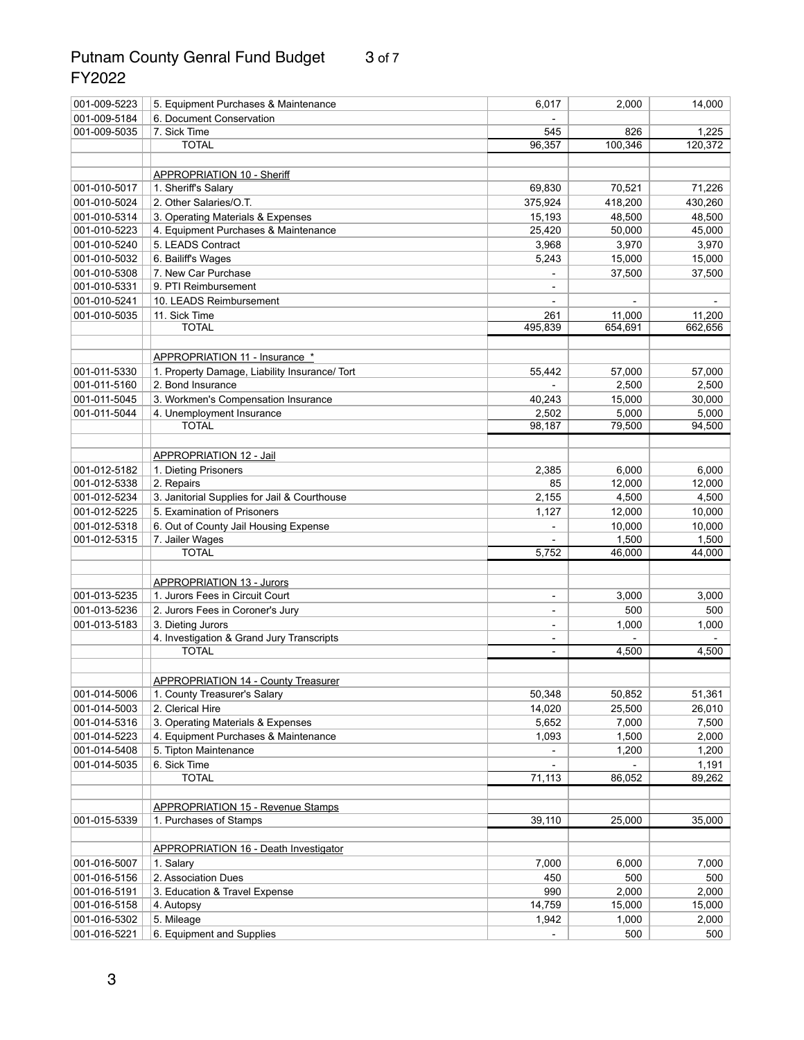# Putnam County Genral Fund Budget 3 of 7 FY2022

| 001-009-5223                 | 5. Equipment Purchases & Maintenance                           | 6,017                        | 2,000           | 14,000          |
|------------------------------|----------------------------------------------------------------|------------------------------|-----------------|-----------------|
| 001-009-5184                 | 6. Document Conservation                                       |                              |                 |                 |
| 001-009-5035                 | 7. Sick Time                                                   | 545                          | 826             | 1,225           |
|                              | <b>TOTAL</b>                                                   | 96,357                       | 100,346         | 120,372         |
|                              |                                                                |                              |                 |                 |
|                              | <b>APPROPRIATION 10 - Sheriff</b>                              |                              |                 |                 |
| 001-010-5017                 | 1. Sheriff's Salary                                            | 69,830                       | 70,521          | 71,226          |
| 001-010-5024                 | 2. Other Salaries/O.T.                                         | 375,924                      | 418,200         | 430,260         |
| 001-010-5314                 | 3. Operating Materials & Expenses                              | 15,193                       | 48,500          | 48,500          |
| 001-010-5223                 | 4. Equipment Purchases & Maintenance                           | 25,420                       | 50,000          | 45,000          |
| 001-010-5240                 | 5. LEADS Contract                                              | 3,968                        | 3,970           | 3,970           |
| 001-010-5032                 | 6. Bailiff's Wages                                             | 5,243                        | 15,000          | 15,000          |
| 001-010-5308                 | 7. New Car Purchase                                            |                              | 37,500          | 37,500          |
| 001-010-5331                 | 9. PTI Reimbursement                                           |                              |                 |                 |
| 001-010-5241                 | 10. LEADS Reimbursement                                        |                              |                 |                 |
| 001-010-5035                 | 11. Sick Time                                                  | 261                          | 11,000          | 11,200          |
|                              | <b>TOTAL</b>                                                   | 495,839                      | 654,691         | 662,656         |
|                              |                                                                |                              |                 |                 |
|                              | APPROPRIATION 11 - Insurance *                                 |                              |                 |                 |
| 001-011-5330                 | 1. Property Damage, Liability Insurance/ Tort                  | 55,442                       | 57,000          | 57,000          |
| 001-011-5160                 | 2. Bond Insurance                                              |                              | 2,500           | 2,500           |
| 001-011-5045                 | 3. Workmen's Compensation Insurance                            | 40,243                       | 15,000          | 30,000          |
| 001-011-5044                 | 4. Unemployment Insurance                                      | 2,502                        | 5,000           | 5,000           |
|                              | <b>TOTAL</b>                                                   | 98,187                       | 79,500          | 94,500          |
|                              |                                                                |                              |                 |                 |
|                              | <b>APPROPRIATION 12 - Jail</b>                                 |                              |                 |                 |
| 001-012-5182                 | 1. Dieting Prisoners                                           | 2,385                        | 6,000           | 6,000           |
| 001-012-5338                 | 2. Repairs                                                     | 85                           | 12,000          | 12,000          |
| 001-012-5234                 | 3. Janitorial Supplies for Jail & Courthouse                   | 2,155                        | 4,500           | 4,500           |
| 001-012-5225                 | 5. Examination of Prisoners                                    | 1,127                        | 12,000          | 10,000          |
| 001-012-5318                 |                                                                |                              | 10,000          | 10,000          |
| 001-012-5315                 | 6. Out of County Jail Housing Expense<br>7. Jailer Wages       |                              | 1,500           | 1,500           |
|                              | <b>TOTAL</b>                                                   | 5,752                        | 46,000          | 44,000          |
|                              |                                                                |                              |                 |                 |
|                              | <b>APPROPRIATION 13 - Jurors</b>                               |                              |                 |                 |
| 001-013-5235                 | 1. Jurors Fees in Circuit Court                                | $\overline{\phantom{a}}$     | 3,000           | 3,000           |
| 001-013-5236                 |                                                                |                              | 500             | 500             |
| 001-013-5183                 | 2. Jurors Fees in Coroner's Jury                               | $\qquad \qquad \blacksquare$ | 1,000           | 1,000           |
|                              | 3. Dieting Jurors<br>4. Investigation & Grand Jury Transcripts |                              |                 |                 |
|                              | <b>TOTAL</b>                                                   |                              | 4,500           | 4,500           |
|                              |                                                                |                              |                 |                 |
|                              | <b>APPROPRIATION 14 - County Treasurer</b>                     |                              |                 |                 |
| 001-014-5006                 | 1. County Treasurer's Salary                                   | 50,348                       | 50,852          | 51,361          |
| 001-014-5003                 | 2. Clerical Hire                                               | 14,020                       | 25,500          | 26,010          |
| 001-014-5316                 | 3. Operating Materials & Expenses                              | 5,652                        | 7,000           | 7,500           |
| 001-014-5223                 | 4. Equipment Purchases & Maintenance                           | 1,093                        | 1,500           | 2,000           |
| 001-014-5408                 | 5. Tipton Maintenance                                          |                              | 1,200           | 1,200           |
| 001-014-5035                 | 6. Sick Time                                                   |                              |                 | 1,191           |
|                              | <b>TOTAL</b>                                                   | 71,113                       | 86,052          | 89,262          |
|                              |                                                                |                              |                 |                 |
|                              | <b>APPROPRIATION 15 - Revenue Stamps</b>                       |                              |                 |                 |
| 001-015-5339                 | 1. Purchases of Stamps                                         | 39,110                       | 25,000          | 35,000          |
|                              |                                                                |                              |                 |                 |
|                              | <b>APPROPRIATION 16 - Death Investigator</b>                   |                              |                 |                 |
| 001-016-5007                 | 1. Salary                                                      | 7,000                        | 6,000           | 7,000           |
| 001-016-5156                 | 2. Association Dues                                            | 450                          | 500             | 500             |
|                              |                                                                |                              |                 |                 |
| 001-016-5191<br>001-016-5158 | 3. Education & Travel Expense                                  | 990<br>14,759                | 2,000<br>15,000 | 2,000<br>15,000 |
| 001-016-5302                 | 4. Autopsy                                                     |                              | 1,000           |                 |
|                              | 5. Mileage                                                     | 1,942                        |                 | 2,000           |
| 001-016-5221                 | 6. Equipment and Supplies                                      |                              | 500             | 500             |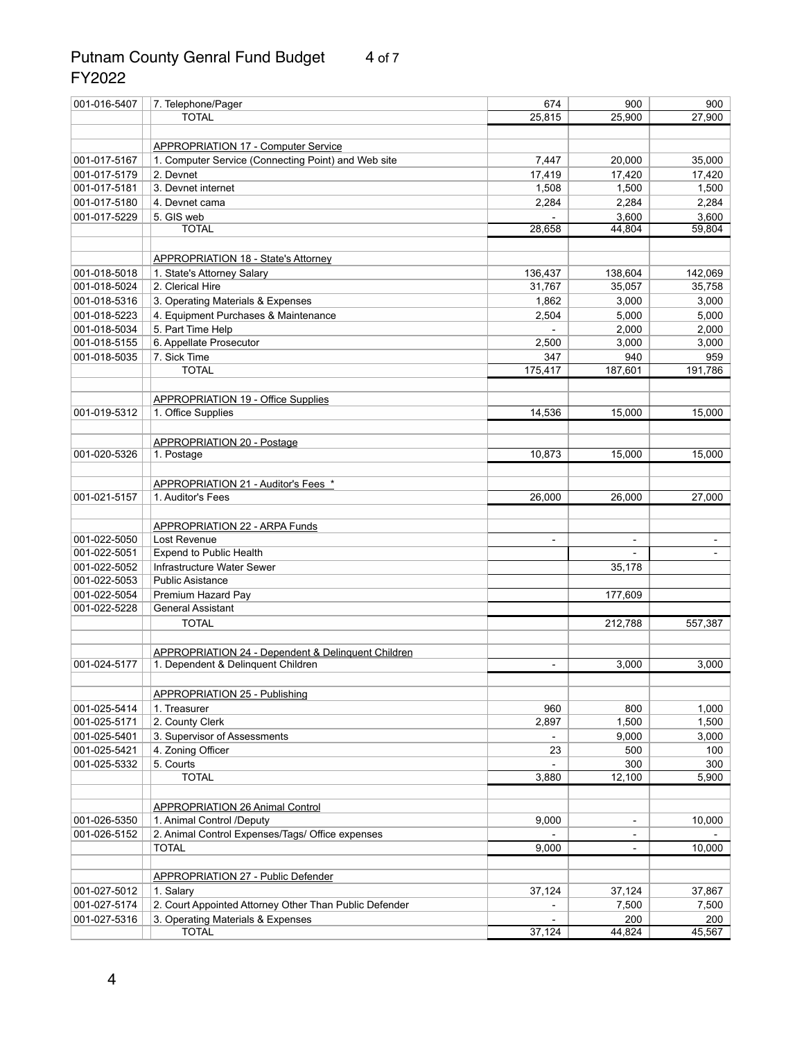### Putnam County Genral Fund Budget 4 of 7 FY2022

| 001-016-5407 | 7. Telephone/Pager                                                  | 674                          | 900            | 900     |
|--------------|---------------------------------------------------------------------|------------------------------|----------------|---------|
|              | <b>TOTAL</b>                                                        | 25,815                       | 25,900         | 27,900  |
|              |                                                                     |                              |                |         |
|              | <b>APPROPRIATION 17 - Computer Service</b>                          |                              |                |         |
| 001-017-5167 | 1. Computer Service (Connecting Point) and Web site                 | 7,447                        | 20,000         | 35,000  |
| 001-017-5179 | 2. Devnet                                                           | 17,419                       | 17,420         | 17,420  |
| 001-017-5181 | 3. Devnet internet                                                  | 1,508                        | 1,500          | 1,500   |
| 001-017-5180 | 4. Devnet cama                                                      | 2,284                        | 2,284          | 2,284   |
| 001-017-5229 | 5. GIS web                                                          |                              | 3,600          | 3,600   |
|              | <b>TOTAL</b>                                                        | 28,658                       | 44,804         | 59,804  |
|              |                                                                     |                              |                |         |
|              | <b>APPROPRIATION 18 - State's Attorney</b>                          |                              |                |         |
| 001-018-5018 | 1. State's Attorney Salary                                          | 136,437                      | 138,604        | 142,069 |
| 001-018-5024 | 2. Clerical Hire                                                    | 31,767                       | 35,057         | 35,758  |
| 001-018-5316 | 3. Operating Materials & Expenses                                   | 1,862                        | 3,000          | 3,000   |
| 001-018-5223 |                                                                     |                              |                |         |
|              | 4. Equipment Purchases & Maintenance                                | 2,504                        | 5,000          | 5,000   |
| 001-018-5034 | 5. Part Time Help                                                   |                              | 2,000          | 2,000   |
| 001-018-5155 | 6. Appellate Prosecutor                                             | 2,500                        | 3,000          | 3,000   |
| 001-018-5035 | 7. Sick Time                                                        | 347                          | 940            | 959     |
|              | <b>TOTAL</b>                                                        | 175,417                      | 187,601        | 191,786 |
|              |                                                                     |                              |                |         |
|              | <b>APPROPRIATION 19 - Office Supplies</b>                           |                              |                |         |
| 001-019-5312 | 1. Office Supplies                                                  | 14,536                       | 15,000         | 15,000  |
|              |                                                                     |                              |                |         |
|              | <b>APPROPRIATION 20 - Postage</b>                                   |                              |                |         |
| 001-020-5326 | 1. Postage                                                          | 10,873                       | 15,000         | 15,000  |
|              |                                                                     |                              |                |         |
|              | APPROPRIATION 21 - Auditor's Fees *                                 |                              |                |         |
| 001-021-5157 | 1. Auditor's Fees                                                   | 26,000                       | 26,000         | 27,000  |
|              |                                                                     |                              |                |         |
|              | <b>APPROPRIATION 22 - ARPA Funds</b>                                |                              |                |         |
| 001-022-5050 | Lost Revenue                                                        | $\qquad \qquad \blacksquare$ |                |         |
| 001-022-5051 | <b>Expend to Public Health</b>                                      |                              |                |         |
| 001-022-5052 | Infrastructure Water Sewer                                          |                              | 35,178         |         |
| 001-022-5053 | <b>Public Asistance</b>                                             |                              |                |         |
| 001-022-5054 | Premium Hazard Pay                                                  |                              | 177,609        |         |
| 001-022-5228 | <b>General Assistant</b>                                            |                              |                |         |
|              | <b>TOTAL</b>                                                        |                              | 212,788        | 557,387 |
|              |                                                                     |                              |                |         |
|              | <b>APPROPRIATION 24 - Dependent &amp; Delinquent Children</b>       |                              |                |         |
| 001-024-5177 | 1. Dependent & Delinquent Children                                  | $\blacksquare$               | 3,000          | 3,000   |
|              |                                                                     |                              |                |         |
|              | <b>APPROPRIATION 25 - Publishing</b>                                |                              |                |         |
| 001-025-5414 | 1. Treasurer                                                        | 960                          | 800            | 1,000   |
| 001-025-5171 | 2. County Clerk                                                     | 2,897                        | 1,500          | 1,500   |
| 001-025-5401 | 3. Supervisor of Assessments                                        |                              | 9,000          | 3,000   |
| 001-025-5421 | 4. Zoning Officer                                                   | 23                           | 500            | 100     |
| 001-025-5332 | 5. Courts                                                           |                              | 300            | 300     |
|              | <b>TOTAL</b>                                                        | 3,880                        | 12,100         | 5,900   |
|              |                                                                     |                              |                |         |
|              |                                                                     |                              |                |         |
| 001-026-5350 | <b>APPROPRIATION 26 Animal Control</b><br>1. Animal Control /Deputy | 9,000                        | $\blacksquare$ | 10,000  |
|              |                                                                     |                              |                |         |
| 001-026-5152 | 2. Animal Control Expenses/Tags/ Office expenses<br><b>TOTAL</b>    | 9,000                        |                | 10,000  |
|              |                                                                     |                              |                |         |
|              |                                                                     |                              |                |         |
|              | APPROPRIATION 27 - Public Defender                                  |                              |                |         |
| 001-027-5012 | 1. Salary                                                           | 37,124                       | 37,124         | 37,867  |
| 001-027-5174 | 2. Court Appointed Attorney Other Than Public Defender              |                              | 7,500          | 7,500   |
| 001-027-5316 | 3. Operating Materials & Expenses                                   |                              | 200            | 200     |
|              | <b>TOTAL</b>                                                        | 37,124                       | 44,824         | 45,567  |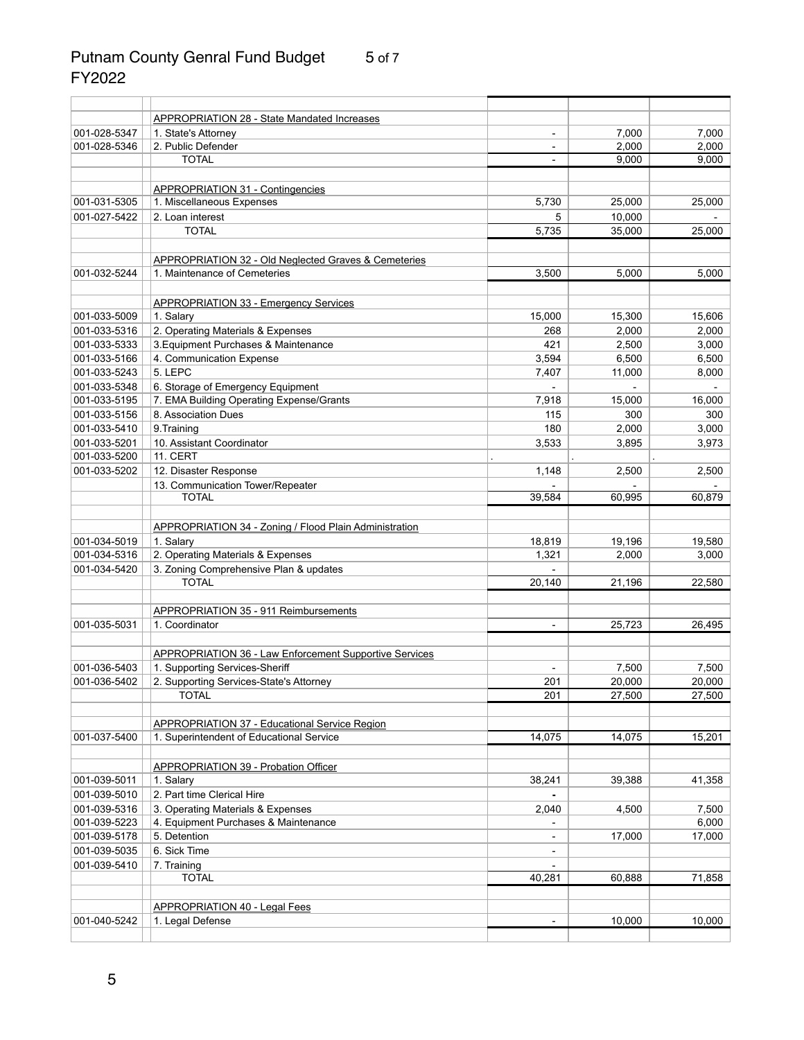# Putnam County Genral Fund Budget 5 of 7 FY2022

|              | <b>APPROPRIATION 28 - State Mandated Increases</b>            |                |        |        |
|--------------|---------------------------------------------------------------|----------------|--------|--------|
| 001-028-5347 | 1. State's Attorney                                           | $\blacksquare$ | 7,000  | 7,000  |
| 001-028-5346 | 2. Public Defender                                            |                | 2,000  | 2,000  |
|              | <b>TOTAL</b>                                                  |                | 9,000  | 9,000  |
|              | <b>APPROPRIATION 31 - Contingencies</b>                       |                |        |        |
| 001-031-5305 | 1. Miscellaneous Expenses                                     | 5,730          | 25,000 | 25,000 |
| 001-027-5422 | 2. Loan interest                                              | 5              | 10,000 |        |
|              | <b>TOTAL</b>                                                  | 5,735          | 35,000 | 25,000 |
|              | APPROPRIATION 32 - Old Neglected Graves & Cemeteries          |                |        |        |
| 001-032-5244 | 1. Maintenance of Cemeteries                                  | 3,500          | 5,000  | 5,000  |
|              | <b>APPROPRIATION 33 - Emergency Services</b>                  |                |        |        |
| 001-033-5009 | 1. Salary                                                     | 15,000         | 15,300 | 15,606 |
| 001-033-5316 | 2. Operating Materials & Expenses                             | 268            | 2,000  | 2,000  |
| 001-033-5333 | 3. Equipment Purchases & Maintenance                          | 421            | 2,500  | 3,000  |
| 001-033-5166 | 4. Communication Expense                                      | 3,594          | 6,500  | 6,500  |
| 001-033-5243 | 5. LEPC                                                       | 7,407          | 11,000 | 8,000  |
| 001-033-5348 | 6. Storage of Emergency Equipment                             |                |        |        |
| 001-033-5195 | 7. EMA Building Operating Expense/Grants                      | 7,918          | 15,000 | 16,000 |
| 001-033-5156 | 8. Association Dues                                           | 115            | 300    | 300    |
| 001-033-5410 | 9. Training                                                   | 180            | 2,000  | 3,000  |
| 001-033-5201 | 10. Assistant Coordinator                                     | 3,533          | 3,895  | 3,973  |
| 001-033-5200 | 11. CERT                                                      |                |        |        |
| 001-033-5202 | 12. Disaster Response                                         | 1,148          | 2,500  | 2,500  |
|              | 13. Communication Tower/Repeater                              |                |        |        |
|              | <b>TOTAL</b>                                                  | 39,584         | 60,995 | 60,879 |
|              | <b>APPROPRIATION 34 - Zoning / Flood Plain Administration</b> |                |        |        |
| 001-034-5019 | 1. Salary                                                     | 18,819         | 19,196 | 19,580 |
| 001-034-5316 | 2. Operating Materials & Expenses                             | 1,321          | 2,000  | 3,000  |
| 001-034-5420 | 3. Zoning Comprehensive Plan & updates                        |                |        |        |
|              | <b>TOTAL</b>                                                  | 20,140         | 21,196 | 22,580 |
|              | <b>APPROPRIATION 35 - 911 Reimbursements</b>                  |                |        |        |
| 001-035-5031 | 1. Coordinator                                                |                | 25,723 | 26,495 |
|              |                                                               |                |        |        |
|              | <b>APPROPRIATION 36 - Law Enforcement Supportive Services</b> |                |        |        |
| 001-036-5403 | 1. Supporting Services-Sheriff                                |                | 7,500  | 7,500  |
| 001-036-5402 | 2. Supporting Services-State's Attorney                       | 201            | 20,000 | 20,000 |
|              | <b>TOTAL</b>                                                  | 201            | 27,500 | 27,500 |
|              | <b>APPROPRIATION 37 - Educational Service Region</b>          |                |        |        |
| 001-037-5400 | 1. Superintendent of Educational Service                      | 14,075         | 14,075 | 15,201 |
|              | <b>APPROPRIATION 39 - Probation Officer</b>                   |                |        |        |
| 001-039-5011 | 1. Salary                                                     | 38,241         | 39,388 | 41,358 |
| 001-039-5010 | 2. Part time Clerical Hire                                    |                |        |        |
| 001-039-5316 | 3. Operating Materials & Expenses                             | 2,040          | 4,500  | 7,500  |
| 001-039-5223 | 4. Equipment Purchases & Maintenance                          |                |        | 6,000  |
| 001-039-5178 | 5. Detention                                                  |                | 17,000 | 17,000 |
| 001-039-5035 | 6. Sick Time                                                  |                |        |        |
| 001-039-5410 | 7. Training                                                   |                |        |        |
|              | <b>TOTAL</b>                                                  | 40,281         | 60,888 | 71,858 |
|              |                                                               |                |        |        |
| 001-040-5242 | <b>APPROPRIATION 40 - Legal Fees</b><br>1. Legal Defense      |                | 10,000 | 10,000 |
|              |                                                               |                |        |        |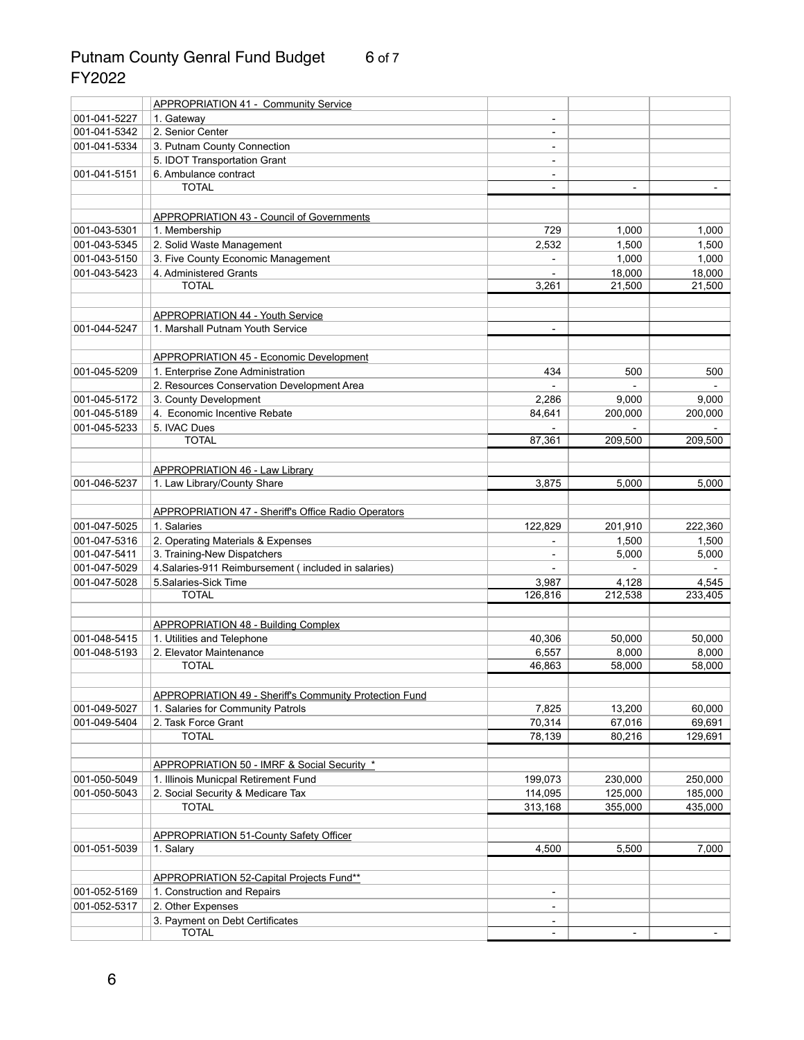## Putnam County Genral Fund Budget 6 of 7 FY2022

|                              | <b>APPROPRIATION 41 - Community Service</b>                                   |                              |                  |         |
|------------------------------|-------------------------------------------------------------------------------|------------------------------|------------------|---------|
| 001-041-5227                 | 1. Gateway                                                                    |                              |                  |         |
| 001-041-5342                 | 2. Senior Center                                                              | $\overline{a}$               |                  |         |
| 001-041-5334                 | 3. Putnam County Connection                                                   |                              |                  |         |
|                              | 5. IDOT Transportation Grant                                                  | $\qquad \qquad \blacksquare$ |                  |         |
| 001-041-5151                 | 6. Ambulance contract                                                         |                              |                  |         |
|                              | <b>TOTAL</b>                                                                  |                              |                  |         |
|                              |                                                                               |                              |                  |         |
|                              | <b>APPROPRIATION 43 - Council of Governments</b>                              |                              |                  |         |
| 001-043-5301                 | 1. Membership                                                                 | 729                          | 1,000            | 1,000   |
| 001-043-5345                 | 2. Solid Waste Management                                                     | 2,532                        | 1,500            | 1,500   |
| 001-043-5150                 | 3. Five County Economic Management                                            |                              | 1,000            | 1,000   |
| 001-043-5423                 | 4. Administered Grants                                                        |                              | 18,000           | 18,000  |
|                              | <b>TOTAL</b>                                                                  | 3,261                        | 21,500           | 21,500  |
|                              |                                                                               |                              |                  |         |
|                              | <b>APPROPRIATION 44 - Youth Service</b>                                       |                              |                  |         |
| 001-044-5247                 | 1. Marshall Putnam Youth Service                                              |                              |                  |         |
|                              |                                                                               |                              |                  |         |
|                              | <b>APPROPRIATION 45 - Economic Development</b>                                |                              |                  |         |
| 001-045-5209                 | 1. Enterprise Zone Administration                                             | 434                          | 500              | 500     |
|                              | 2. Resources Conservation Development Area                                    |                              |                  |         |
| 001-045-5172                 | 3. County Development                                                         | 2,286                        | 9,000            | 9,000   |
| 001-045-5189                 | 4. Economic Incentive Rebate                                                  | 84,641                       | 200,000          | 200,000 |
| 001-045-5233                 | 5. IVAC Dues                                                                  |                              |                  |         |
|                              | <b>TOTAL</b>                                                                  | 87,361                       | 209,500          | 209,500 |
|                              |                                                                               |                              |                  |         |
|                              | <b>APPROPRIATION 46 - Law Library</b>                                         |                              |                  |         |
| 001-046-5237                 | 1. Law Library/County Share                                                   | 3,875                        | 5,000            | 5,000   |
|                              |                                                                               |                              |                  |         |
|                              | <b>APPROPRIATION 47 - Sheriff's Office Radio Operators</b>                    |                              |                  |         |
| 001-047-5025                 | 1. Salaries                                                                   | 122,829                      | 201,910          | 222,360 |
| 001-047-5316                 | 2. Operating Materials & Expenses                                             |                              | 1,500            | 1,500   |
| 001-047-5411                 | 3. Training-New Dispatchers                                                   |                              | 5,000            | 5,000   |
| 001-047-5029<br>001-047-5028 | 4. Salaries-911 Reimbursement (included in salaries)<br>5. Salaries-Sick Time |                              |                  | 4,545   |
|                              | <b>TOTAL</b>                                                                  | 3,987<br>126,816             | 4,128<br>212,538 | 233,405 |
|                              |                                                                               |                              |                  |         |
|                              | <b>APPROPRIATION 48 - Building Complex</b>                                    |                              |                  |         |
| 001-048-5415                 | 1. Utilities and Telephone                                                    | 40,306                       | 50,000           | 50,000  |
| 001-048-5193                 | 2. Elevator Maintenance                                                       | 6,557                        | 8,000            | 8,000   |
|                              | <b>TOTAL</b>                                                                  | 46,863                       | 58,000           | 58,000  |
|                              |                                                                               |                              |                  |         |
|                              | <b>APPROPRIATION 49 - Sheriff's Community Protection Fund</b>                 |                              |                  |         |
| 001-049-5027                 | 1. Salaries for Community Patrols                                             | 7,825                        | 13,200           | 60,000  |
| 001-049-5404                 | 2. Task Force Grant                                                           | 70,314                       | 67,016           | 69,691  |
|                              | <b>TOTAL</b>                                                                  | 78,139                       | 80,216           | 129,691 |
|                              |                                                                               |                              |                  |         |
|                              | APPROPRIATION 50 - IMRF & Social Security *                                   |                              |                  |         |
| 001-050-5049                 | 1. Illinois Municpal Retirement Fund                                          | 199,073                      | 230,000          | 250,000 |
| 001-050-5043                 | 2. Social Security & Medicare Tax                                             | 114,095                      | 125,000          | 185,000 |
|                              | <b>TOTAL</b>                                                                  | 313,168                      | 355,000          | 435,000 |
|                              |                                                                               |                              |                  |         |
|                              | <b>APPROPRIATION 51-County Safety Officer</b>                                 |                              |                  |         |
| 001-051-5039                 | 1. Salary                                                                     | 4,500                        | 5,500            | 7,000   |
|                              |                                                                               |                              |                  |         |
|                              | APPROPRIATION 52-Capital Projects Fund**                                      |                              |                  |         |
| 001-052-5169                 | 1. Construction and Repairs                                                   | $\qquad \qquad \blacksquare$ |                  |         |
| 001-052-5317                 | 2. Other Expenses                                                             |                              |                  |         |
|                              | 3. Payment on Debt Certificates<br><b>TOTAL</b>                               |                              |                  |         |
|                              |                                                                               |                              |                  |         |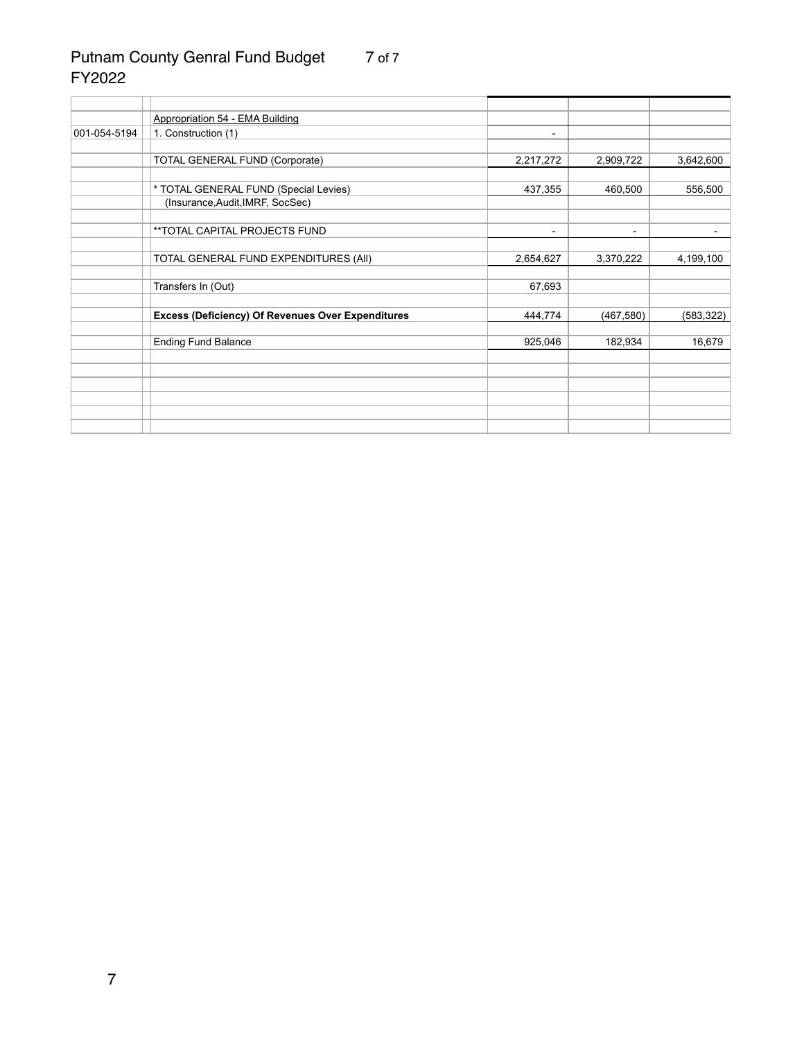#### Putnam County Genral Fund Budget 7 of 7 FY2022

|              | <b>Appropriation 54 - EMA Building</b>                   |                          |            |           |
|--------------|----------------------------------------------------------|--------------------------|------------|-----------|
| 001-054-5194 | 1. Construction (1)                                      | ۰.                       |            |           |
|              |                                                          |                          |            |           |
|              | <b>TOTAL GENERAL FUND (Corporate)</b>                    | 2,217,272                | 2,909,722  | 3,642,600 |
|              |                                                          |                          |            |           |
|              | * TOTAL GENERAL FUND (Special Levies)                    | 437,355                  | 460,500    | 556,500   |
|              | (Insurance, Audit, IMRF, SocSec)                         |                          |            |           |
|              |                                                          |                          |            |           |
|              | **TOTAL CAPITAL PROJECTS FUND                            | $\overline{\phantom{a}}$ | ۰.         |           |
|              |                                                          |                          |            |           |
|              | TOTAL GENERAL FUND EXPENDITURES (All)                    | 2,654,627                | 3,370,222  | 4,199,100 |
|              |                                                          |                          |            |           |
|              | Transfers In (Out)                                       | 67,693                   |            |           |
|              |                                                          |                          |            |           |
|              | <b>Excess (Deficiency) Of Revenues Over Expenditures</b> | 444,774                  | (467, 580) |           |
|              |                                                          |                          |            |           |
|              | <b>Ending Fund Balance</b>                               | 925,046                  | 182,934    | 16,679    |
|              |                                                          |                          |            |           |
|              |                                                          |                          |            |           |
|              |                                                          |                          |            |           |
|              |                                                          |                          |            |           |
|              |                                                          |                          |            |           |
|              |                                                          |                          |            |           |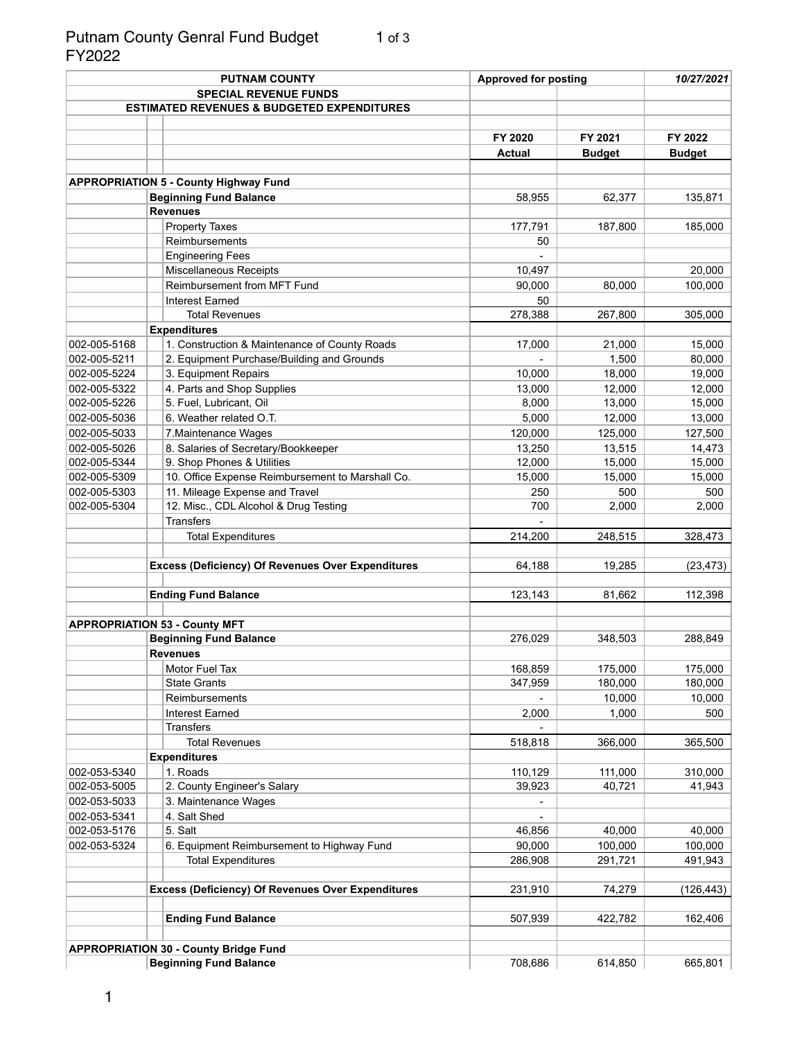#### Putnam County Genral Fund Budget 1 of 3 FY2022

|              | <b>PUTNAM COUNTY</b>                                     | <b>Approved for posting</b> |               | 10/27/2021    |
|--------------|----------------------------------------------------------|-----------------------------|---------------|---------------|
|              | <b>SPECIAL REVENUE FUNDS</b>                             |                             |               |               |
|              | <b>ESTIMATED REVENUES &amp; BUDGETED EXPENDITURES</b>    |                             |               |               |
|              |                                                          |                             |               |               |
|              |                                                          | FY 2020                     | FY 2021       | FY 2022       |
|              |                                                          | <b>Actual</b>               | <b>Budget</b> | <b>Budget</b> |
|              |                                                          |                             |               |               |
|              | <b>APPROPRIATION 5 - County Highway Fund</b>             |                             |               |               |
|              | <b>Beginning Fund Balance</b>                            | 58,955                      | 62,377        | 135,871       |
|              | <b>Revenues</b>                                          |                             |               |               |
|              | <b>Property Taxes</b>                                    | 177,791                     | 187,800       | 185,000       |
|              | Reimbursements                                           | 50                          |               |               |
|              | <b>Engineering Fees</b>                                  |                             |               |               |
|              | <b>Miscellaneous Receipts</b>                            | 10,497                      |               | 20,000        |
|              | Reimbursement from MFT Fund                              | 90,000                      | 80,000        | 100,000       |
|              | <b>Interest Earned</b>                                   | 50                          |               |               |
|              | <b>Total Revenues</b>                                    | 278,388                     | 267,800       | 305,000       |
|              | <b>Expenditures</b>                                      |                             |               |               |
| 002-005-5168 | 1. Construction & Maintenance of County Roads            | 17,000                      | 21,000        | 15,000        |
| 002-005-5211 | 2. Equipment Purchase/Building and Grounds               |                             | 1,500         | 80,000        |
| 002-005-5224 | 3. Equipment Repairs                                     | 10,000                      | 18,000        | 19,000        |
| 002-005-5322 | 4. Parts and Shop Supplies                               | 13,000                      | 12,000        | 12,000        |
| 002-005-5226 | 5. Fuel, Lubricant, Oil                                  | 8,000                       | 13,000        | 15,000        |
| 002-005-5036 | 6. Weather related O.T.                                  | 5,000                       | 12,000        | 13,000        |
| 002-005-5033 | 7. Maintenance Wages                                     | 120,000                     | 125,000       | 127,500       |
| 002-005-5026 | 8. Salaries of Secretary/Bookkeeper                      | 13,250                      | 13,515        | 14,473        |
| 002-005-5344 | 9. Shop Phones & Utilities                               | 12,000                      | 15,000        | 15,000        |
| 002-005-5309 | 10. Office Expense Reimbursement to Marshall Co.         | 15,000                      | 15,000        | 15,000        |
| 002-005-5303 | 11. Mileage Expense and Travel                           | 250                         | 500           | 500           |
| 002-005-5304 | 12. Misc., CDL Alcohol & Drug Testing                    | 700                         | 2,000         | 2,000         |
|              | <b>Transfers</b>                                         |                             |               |               |
|              | <b>Total Expenditures</b>                                | 214,200                     | 248,515       | 328,473       |
|              |                                                          |                             |               |               |
|              | <b>Excess (Deficiency) Of Revenues Over Expenditures</b> | 64,188                      | 19,285        | (23, 473)     |
|              |                                                          |                             |               |               |
|              | <b>Ending Fund Balance</b>                               | 123,143                     | 81,662        | 112,398       |
|              |                                                          |                             |               |               |
|              | <b>APPROPRIATION 53 - County MFT</b>                     |                             |               |               |
|              | <b>Beginning Fund Balance</b>                            | 276,029                     | 348,503       | 288,849       |
|              | <b>Revenues</b>                                          |                             |               |               |
|              | Motor Fuel Tax                                           | 168,859                     | 175,000       | 175,000       |
|              | <b>State Grants</b>                                      | 347,959                     | 180,000       | 180,000       |
|              | Reimbursements                                           |                             | 10,000        | 10,000        |
|              | <b>Interest Earned</b>                                   | 2,000                       | 1,000         | 500           |
|              | <b>Transfers</b>                                         |                             |               |               |
|              | <b>Total Revenues</b>                                    | 518,818                     | 366,000       | 365,500       |
|              | <b>Expenditures</b>                                      |                             |               |               |
| 002-053-5340 | 1. Roads                                                 | 110,129                     | 111,000       | 310,000       |
| 002-053-5005 | 2. County Engineer's Salary                              | 39,923                      | 40,721        | 41,943        |
| 002-053-5033 | 3. Maintenance Wages                                     |                             |               |               |
| 002-053-5341 | 4. Salt Shed                                             |                             |               |               |
| 002-053-5176 | 5. Salt                                                  | 46,856                      | 40,000        | 40,000        |
| 002-053-5324 | 6. Equipment Reimbursement to Highway Fund               | 90,000                      | 100,000       | 100,000       |
|              | <b>Total Expenditures</b>                                | 286,908                     | 291,721       | 491,943       |
|              |                                                          |                             |               |               |
|              | <b>Excess (Deficiency) Of Revenues Over Expenditures</b> | 231,910                     | 74,279        | (126, 443)    |
|              |                                                          |                             |               |               |
|              | <b>Ending Fund Balance</b>                               | 507,939                     | 422,782       | 162,406       |
|              |                                                          |                             |               |               |
|              | <b>APPROPRIATION 30 - County Bridge Fund</b>             |                             |               |               |
|              | <b>Beginning Fund Balance</b>                            | 708,686                     | 614,850       | 665,801       |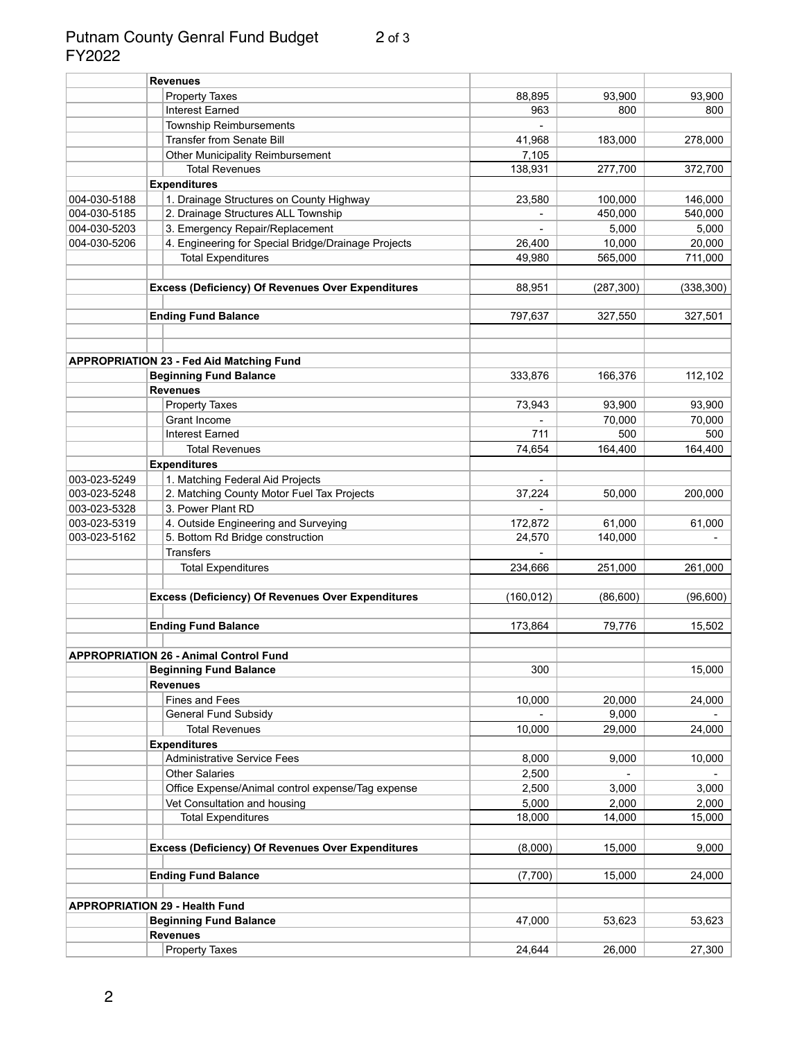#### Putnam County Genral Fund Budget 2 of 3 FY2022

|              | <b>Revenues</b>                                                                  |            |            |            |
|--------------|----------------------------------------------------------------------------------|------------|------------|------------|
|              | <b>Property Taxes</b>                                                            | 88,895     | 93,900     | 93,900     |
|              | <b>Interest Earned</b>                                                           | 963        | 800        | 800        |
|              | <b>Township Reimbursements</b>                                                   |            |            |            |
|              | <b>Transfer from Senate Bill</b>                                                 | 41,968     | 183,000    | 278,000    |
|              | <b>Other Municipality Reimbursement</b>                                          | 7,105      |            |            |
|              | <b>Total Revenues</b>                                                            | 138,931    | 277,700    | 372,700    |
|              | <b>Expenditures</b>                                                              |            |            |            |
| 004-030-5188 | 1. Drainage Structures on County Highway                                         | 23,580     | 100,000    | 146,000    |
| 004-030-5185 | 2. Drainage Structures ALL Township                                              |            | 450,000    | 540,000    |
| 004-030-5203 | 3. Emergency Repair/Replacement                                                  |            | 5,000      | 5,000      |
| 004-030-5206 | 4. Engineering for Special Bridge/Drainage Projects                              | 26,400     | 10,000     | 20,000     |
|              | <b>Total Expenditures</b>                                                        | 49,980     | 565,000    | 711,000    |
|              |                                                                                  |            |            |            |
|              | <b>Excess (Deficiency) Of Revenues Over Expenditures</b>                         | 88,951     | (287, 300) | (338, 300) |
|              |                                                                                  |            |            |            |
|              | <b>Ending Fund Balance</b>                                                       | 797,637    | 327,550    | 327,501    |
|              |                                                                                  |            |            |            |
|              |                                                                                  |            |            |            |
|              | <b>APPROPRIATION 23 - Fed Aid Matching Fund</b><br><b>Beginning Fund Balance</b> | 333,876    | 166,376    | 112,102    |
|              |                                                                                  |            |            |            |
|              | <b>Revenues</b>                                                                  |            |            |            |
|              | <b>Property Taxes</b>                                                            | 73,943     | 93,900     | 93,900     |
|              | Grant Income                                                                     |            | 70,000     | 70,000     |
|              | <b>Interest Earned</b>                                                           | 711        | 500        | 500        |
|              | <b>Total Revenues</b>                                                            | 74,654     | 164,400    | 164,400    |
|              | <b>Expenditures</b>                                                              |            |            |            |
| 003-023-5249 | 1. Matching Federal Aid Projects                                                 |            |            |            |
| 003-023-5248 | 2. Matching County Motor Fuel Tax Projects                                       | 37,224     | 50,000     | 200,000    |
| 003-023-5328 | 3. Power Plant RD                                                                |            |            |            |
| 003-023-5319 | 4. Outside Engineering and Surveying                                             | 172,872    | 61,000     | 61,000     |
| 003-023-5162 | 5. Bottom Rd Bridge construction                                                 | 24,570     | 140,000    |            |
|              | <b>Transfers</b>                                                                 |            |            |            |
|              | <b>Total Expenditures</b>                                                        | 234,666    | 251,000    | 261,000    |
|              | <b>Excess (Deficiency) Of Revenues Over Expenditures</b>                         | (160, 012) | (86, 600)  | (96, 600)  |
|              |                                                                                  |            |            |            |
|              | <b>Ending Fund Balance</b>                                                       | 173,864    | 79,776     | 15,502     |
|              | <b>APPROPRIATION 26 - Animal Control Fund</b>                                    |            |            |            |
|              | <b>Beginning Fund Balance</b>                                                    | 300        |            | 15,000     |
|              | <b>Revenues</b>                                                                  |            |            |            |
|              | <b>Fines and Fees</b>                                                            | 10,000     | 20,000     | 24,000     |
|              | <b>General Fund Subsidy</b>                                                      |            | 9,000      |            |
|              | <b>Total Revenues</b>                                                            | 10,000     | 29,000     | 24,000     |
|              | <b>Expenditures</b>                                                              |            |            |            |
|              | <b>Administrative Service Fees</b>                                               | 8,000      | 9,000      | 10,000     |
|              | <b>Other Salaries</b>                                                            | 2,500      |            |            |
|              | Office Expense/Animal control expense/Tag expense                                | 2,500      | 3,000      | 3,000      |
|              | Vet Consultation and housing                                                     | 5,000      | 2,000      | 2,000      |
|              | <b>Total Expenditures</b>                                                        | 18,000     | 14,000     | 15,000     |
|              |                                                                                  |            |            |            |
|              | <b>Excess (Deficiency) Of Revenues Over Expenditures</b>                         | (8,000)    | 15,000     | 9,000      |
|              |                                                                                  |            |            |            |
|              | <b>Ending Fund Balance</b>                                                       | (7,700)    | 15,000     | 24,000     |
|              | <b>APPROPRIATION 29 - Health Fund</b>                                            |            |            |            |
|              | <b>Beginning Fund Balance</b>                                                    | 47,000     | 53,623     | 53,623     |
|              | <b>Revenues</b>                                                                  |            |            |            |
|              | <b>Property Taxes</b>                                                            | 24,644     | 26,000     | 27,300     |